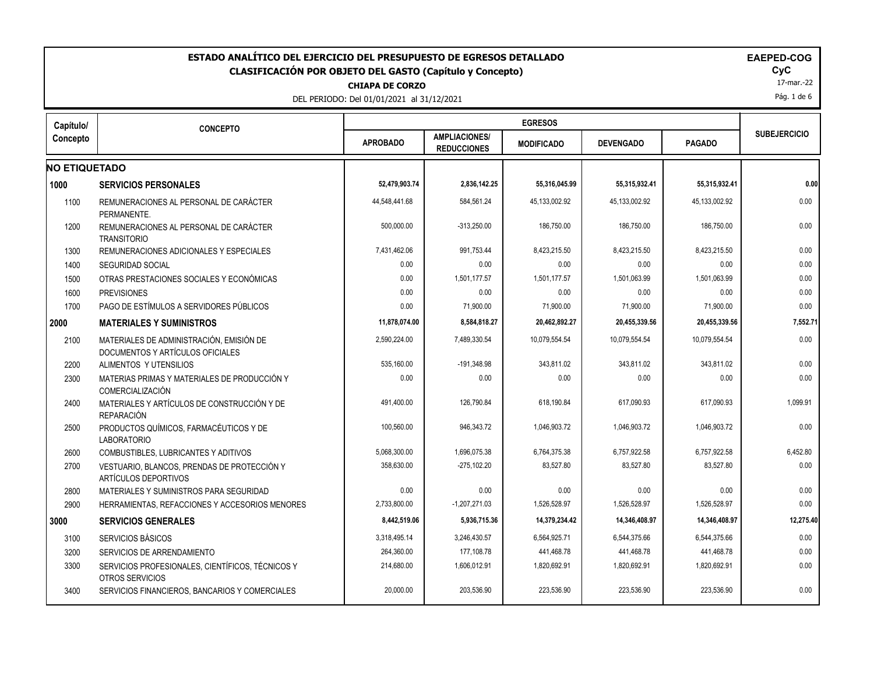| ESTADO ANALÍTICO DEL EJERCICIO DEL PRESUPUESTO DE EGRESOS DETALLADO<br><b>EAEPED-COG</b><br><b>CLASIFICACIÓN POR OBJETO DEL GASTO (Capítulo y Concepto)</b><br><b>CHIAPA DE CORZO</b><br>DEL PERIODO: Del 01/01/2021 al 31/12/2021 |                                                                              |                 |                                            |                   |                  |               |                     |  |  |
|------------------------------------------------------------------------------------------------------------------------------------------------------------------------------------------------------------------------------------|------------------------------------------------------------------------------|-----------------|--------------------------------------------|-------------------|------------------|---------------|---------------------|--|--|
| Capítulo/                                                                                                                                                                                                                          | <b>CONCEPTO</b>                                                              |                 |                                            | <b>EGRESOS</b>    |                  |               |                     |  |  |
| Concepto                                                                                                                                                                                                                           |                                                                              | <b>APROBADO</b> | <b>AMPLIACIONES/</b><br><b>REDUCCIONES</b> | <b>MODIFICADO</b> | <b>DEVENGADO</b> | <b>PAGADO</b> | <b>SUBEJERCICIO</b> |  |  |
| <b>NO ETIQUETADO</b>                                                                                                                                                                                                               |                                                                              |                 |                                            |                   |                  |               |                     |  |  |
| 1000                                                                                                                                                                                                                               | <b>SERVICIOS PERSONALES</b>                                                  | 52,479,903.74   | 2,836,142.25                               | 55,316,045.99     | 55,315,932.41    | 55,315,932.41 | 0.00                |  |  |
| 1100                                                                                                                                                                                                                               | REMUNERACIONES AL PERSONAL DE CARÁCTER<br>PERMANENTE.                        | 44.548.441.68   | 584,561.24                                 | 45,133,002.92     | 45.133.002.92    | 45,133,002.92 | 0.00                |  |  |
| 1200                                                                                                                                                                                                                               | REMUNERACIONES AL PERSONAL DE CARÁCTER<br><b>TRANSITORIO</b>                 | 500,000.00      | $-313,250.00$                              | 186,750.00        | 186,750.00       | 186,750.00    | 0.00                |  |  |
| 1300                                                                                                                                                                                                                               | REMUNERACIONES ADICIONALES Y ESPECIALES                                      | 7,431,462.06    | 991,753.44                                 | 8,423,215.50      | 8,423,215.50     | 8,423,215.50  | 0.00                |  |  |
| 1400                                                                                                                                                                                                                               | <b>SEGURIDAD SOCIAL</b>                                                      | 0.00            | 0.00                                       | 0.00              | 0.00             | 0.00          | 0.00                |  |  |
| 1500                                                                                                                                                                                                                               | OTRAS PRESTACIONES SOCIALES Y ECONÓMICAS                                     | 0.00            | 1,501,177.57                               | 1,501,177.57      | 1,501,063.99     | 1,501,063.99  | 0.00                |  |  |
| 1600                                                                                                                                                                                                                               | <b>PREVISIONES</b>                                                           | 0.00            | 0.00                                       | 0.00              | 0.00             | 0.00          | 0.00                |  |  |
| 1700                                                                                                                                                                                                                               | PAGO DE ESTÍMULOS A SERVIDORES PÚBLICOS                                      | 0.00            | 71,900.00                                  | 71,900.00         | 71,900.00        | 71,900.00     | 0.00                |  |  |
| 2000                                                                                                                                                                                                                               | <b>MATERIALES Y SUMINISTROS</b>                                              | 11,878,074.00   | 8,584,818.27                               | 20,462,892.27     | 20,455,339.56    | 20,455,339.56 | 7,552.71            |  |  |
| 2100                                                                                                                                                                                                                               | MATERIALES DE ADMINISTRACIÓN. EMISIÓN DE<br>DOCUMENTOS Y ARTÍCULOS OFICIALES | 2,590,224.00    | 7,489,330.54                               | 10,079,554.54     | 10.079.554.54    | 10,079,554.54 | 0.00                |  |  |
| 2200                                                                                                                                                                                                                               | ALIMENTOS Y UTENSILIOS                                                       | 535,160.00      | $-191,348.98$                              | 343,811.02        | 343,811.02       | 343,811.02    | 0.00                |  |  |
| 2300                                                                                                                                                                                                                               | MATERIAS PRIMAS Y MATERIALES DE PRODUCCIÓN Y<br>COMERCIALIZACIÓN             | 0.00            | 0.00                                       | 0.00              | 0.00             | 0.00          | 0.00                |  |  |
| 2400                                                                                                                                                                                                                               | MATERIALES Y ARTÍCULOS DE CONSTRUCCIÓN Y DE<br><b>REPARACIÓN</b>             | 491,400.00      | 126,790.84                                 | 618,190.84        | 617,090.93       | 617,090.93    | 1,099.91            |  |  |
| 2500                                                                                                                                                                                                                               | PRODUCTOS QUÍMICOS, FARMACÉUTICOS Y DE<br><b>LABORATORIO</b>                 | 100,560.00      | 946,343.72                                 | 1,046,903.72      | 1,046,903.72     | 1,046,903.72  | 0.00                |  |  |
| 2600                                                                                                                                                                                                                               | <b>COMBUSTIBLES, LUBRICANTES Y ADITIVOS</b>                                  | 5,068,300.00    | 1,696,075.38                               | 6,764,375.38      | 6,757,922.58     | 6,757,922.58  | 6,452.80            |  |  |
| 2700                                                                                                                                                                                                                               | VESTUARIO, BLANCOS, PRENDAS DE PROTECCIÓN Y<br>ARTÍCULOS DEPORTIVOS          | 358,630.00      | $-275, 102.20$                             | 83,527.80         | 83,527.80        | 83,527.80     | 0.00                |  |  |
| 2800                                                                                                                                                                                                                               | MATERIALES Y SUMINISTROS PARA SEGURIDAD                                      | 0.00            | 0.00                                       | 0.00              | 0.00             | 0.00          | 0.00                |  |  |
| 2900                                                                                                                                                                                                                               | HERRAMIENTAS, REFACCIONES Y ACCESORIOS MENORES                               | 2,733,800.00    | $-1,207,271.03$                            | 1,526,528.97      | 1,526,528.97     | 1,526,528.97  | 0.00                |  |  |
| 3000                                                                                                                                                                                                                               | <b>SERVICIOS GENERALES</b>                                                   | 8,442,519.06    | 5,936,715.36                               | 14,379,234.42     | 14,346,408.97    | 14,346,408.97 | 12,275.40           |  |  |
| 3100                                                                                                                                                                                                                               | SERVICIOS BÁSICOS                                                            | 3,318,495.14    | 3,246,430.57                               | 6,564,925.71      | 6,544,375.66     | 6,544,375.66  | 0.00                |  |  |
| 3200                                                                                                                                                                                                                               | SERVICIOS DE ARRENDAMIENTO                                                   | 264,360.00      | 177,108.78                                 | 441,468.78        | 441,468.78       | 441,468.78    | 0.00                |  |  |
| 3300                                                                                                                                                                                                                               | SERVICIOS PROFESIONALES, CIENTÍFICOS, TÉCNICOS Y<br>OTROS SERVICIOS          | 214,680.00      | 1,606,012.91                               | 1,820,692.91      | 1,820,692.91     | 1,820,692.91  | 0.00                |  |  |
| 3400                                                                                                                                                                                                                               | SERVICIOS FINANCIEROS, BANCARIOS Y COMERCIALES                               | 20,000.00       | 203,536.90                                 | 223,536.90        | 223,536.90       | 223,536.90    | 0.00                |  |  |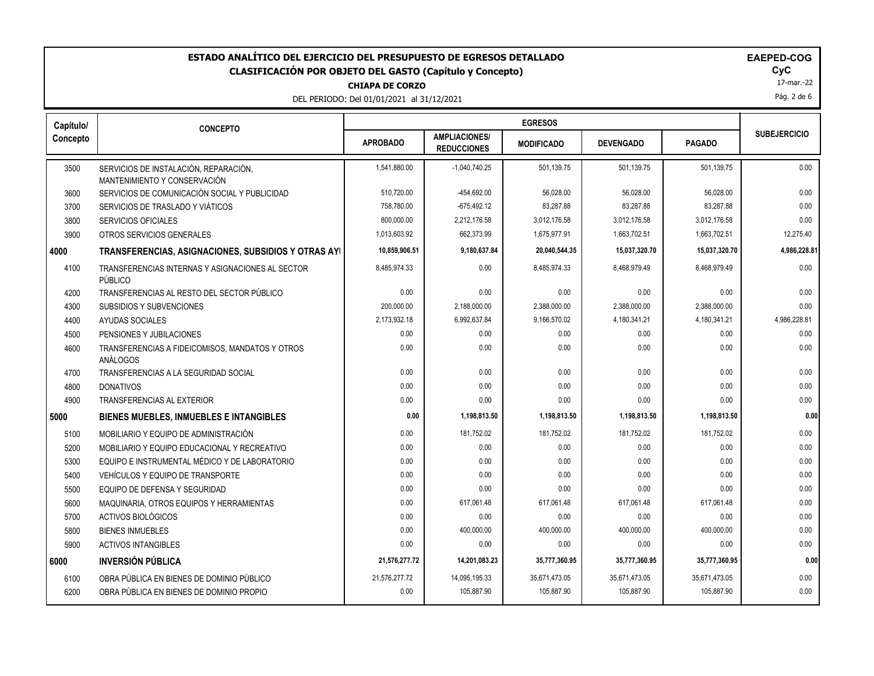# **ESTADO ANALÍTICO DEL EJERCICIO DEL PRESUPUESTO DE EGRESOS DETALLADO EAEPED-COG CLASIFICACIÓN POR OBJETO DEL GASTO (Capítulo y Concepto) CyC**

DEL PERIODO: Del 01/01/2021 al 31/12/2021

|  | <b>CHIAPA DE CORZO</b> |  |  |
|--|------------------------|--|--|
|  |                        |  |  |

17-mar.-22 Pág. 2 de 6

| Capítulo/ | <b>CONCEPTO</b>                                                       |                 |                                            |                   |                  |               |                     |  |
|-----------|-----------------------------------------------------------------------|-----------------|--------------------------------------------|-------------------|------------------|---------------|---------------------|--|
| Concepto  |                                                                       | <b>APROBADO</b> | <b>AMPLIACIONES/</b><br><b>REDUCCIONES</b> | <b>MODIFICADO</b> | <b>DEVENGADO</b> | <b>PAGADO</b> | <b>SUBEJERCICIO</b> |  |
| 3500      | SERVICIOS DE INSTALACIÓN, REPARACIÓN,<br>MANTENIMIENTO Y CONSERVACIÓN | 1,541,880.00    | $-1,040,740.25$                            | 501,139.75        | 501,139.75       | 501,139.75    | 0.00                |  |
| 3600      | SERVICIOS DE COMUNICACIÓN SOCIAL Y PUBLICIDAD                         | 510.720.00      | -454,692.00                                | 56,028.00         | 56.028.00        | 56.028.00     | 0.00                |  |
| 3700      | SERVICIOS DE TRASLADO Y VIÁTICOS                                      | 758,780.00      | $-675,492.12$                              | 83,287.88         | 83,287.88        | 83,287.88     | 0.00                |  |
| 3800      | <b>SERVICIOS OFICIALES</b>                                            | 800.000.00      | 2,212,176.58                               | 3,012,176.58      | 3,012,176.58     | 3,012,176.58  | 0.00                |  |
| 3900      | OTROS SERVICIOS GENERALES                                             | 1,013,603.92    | 662,373.99                                 | 1,675,977.91      | 1,663,702.51     | 1,663,702.51  | 12,275.40           |  |
| 4000      | TRANSFERENCIAS, ASIGNACIONES, SUBSIDIOS Y OTRAS AYI                   | 10,859,906.51   | 9,180,637.84                               | 20,040,544.35     | 15,037,320.70    | 15,037,320.70 | 4,986,228.81        |  |
| 4100      | TRANSFERENCIAS INTERNAS Y ASIGNACIONES AL SECTOR<br>PÚBLICO           | 8,485,974.33    | 0.00                                       | 8,485,974.33      | 8,468,979.49     | 8,468,979.49  | 0.00                |  |
| 4200      | TRANSFERENCIAS AL RESTO DEL SECTOR PÚBLICO                            | 0.00            | 0.00                                       | 0.00              | 0.00             | 0.00          | 0.00                |  |
| 4300      | <b>SUBSIDIOS Y SUBVENCIONES</b>                                       | 200,000.00      | 2,188,000.00                               | 2,388,000.00      | 2,388,000.00     | 2,388,000.00  | 0.00                |  |
| 4400      | AYUDAS SOCIALES                                                       | 2,173,932.18    | 6,992,637.84                               | 9,166,570.02      | 4,180,341.21     | 4,180,341.21  | 4,986,228.81        |  |
| 4500      | PENSIONES Y JUBILACIONES                                              | 0.00            | 0.00                                       | 0.00              | 0.00             | 0.00          | 0.00                |  |
| 4600      | TRANSFERENCIAS A FIDEICOMISOS, MANDATOS Y OTROS<br>ANÁLOGOS           | 0.00            | 0.00                                       | 0.00              | 0.00             | 0.00          | 0.00                |  |
| 4700      | TRANSFERENCIAS A LA SEGURIDAD SOCIAL                                  | 0.00            | 0.00                                       | 0.00              | 0.00             | 0.00          | 0.00                |  |
| 4800      | <b>DONATIVOS</b>                                                      | 0.00            | 0.00                                       | 0.00              | 0.00             | 0.00          | 0.00                |  |
| 4900      | TRANSFERENCIAS AL EXTERIOR                                            | 0.00            | 0.00                                       | 0.00              | 0.00             | 0.00          | 0.00                |  |
| 5000      | <b>BIENES MUEBLES, INMUEBLES E INTANGIBLES</b>                        | 0.00            | 1,198,813.50                               | 1,198,813.50      | 1,198,813.50     | 1,198,813.50  | 0.00                |  |
| 5100      | MOBILIARIO Y EQUIPO DE ADMINISTRACIÓN                                 | 0.00            | 181,752.02                                 | 181,752.02        | 181,752.02       | 181,752.02    | 0.00                |  |
| 5200      | MOBILIARIO Y EQUIPO EDUCACIONAL Y RECREATIVO                          | 0.00            | 0.00                                       | 0.00              | 0.00             | 0.00          | 0.00                |  |
| 5300      | EQUIPO E INSTRUMENTAL MÉDICO Y DE LABORATORIO                         | 0.00            | 0.00                                       | 0.00              | 0.00             | 0.00          | 0.00                |  |
| 5400      | VEHÍCULOS Y EQUIPO DE TRANSPORTE                                      | 0.00            | 0.00                                       | 0.00              | 0.00             | 0.00          | 0.00                |  |
| 5500      | EQUIPO DE DEFENSA Y SEGURIDAD                                         | 0.00            | 0.00                                       | 0.00              | 0.00             | 0.00          | 0.00                |  |
| 5600      | MAQUINARIA, OTROS EQUIPOS Y HERRAMIENTAS                              | 0.00            | 617,061.48                                 | 617,061.48        | 617,061.48       | 617,061.48    | 0.00                |  |
| 5700      | ACTIVOS BIOLÓGICOS                                                    | 0.00            | 0.00                                       | 0.00              | 0.00             | 0.00          | 0.00                |  |
| 5800      | <b>BIENES INMUEBLES</b>                                               | 0.00            | 400,000.00                                 | 400,000.00        | 400,000.00       | 400,000.00    | 0.00                |  |
| 5900      | <b>ACTIVOS INTANGIBLES</b>                                            | 0.00            | 0.00                                       | 0.00              | 0.00             | 0.00          | 0.00                |  |
| 6000      | <b>INVERSIÓN PÚBLICA</b>                                              | 21,576,277.72   | 14,201,083.23                              | 35,777,360.95     | 35,777,360.95    | 35,777,360.95 | 0.00                |  |
| 6100      | OBRA PÚBLICA EN BIENES DE DOMINIO PÚBLICO                             | 21,576,277.72   | 14,095,195.33                              | 35,671,473.05     | 35,671,473.05    | 35,671,473.05 | 0.00                |  |
| 6200      | OBRA PÚBLICA EN BIENES DE DOMINIO PROPIO                              | 0.00            | 105,887.90                                 | 105,887.90        | 105,887.90       | 105,887.90    | 0.00                |  |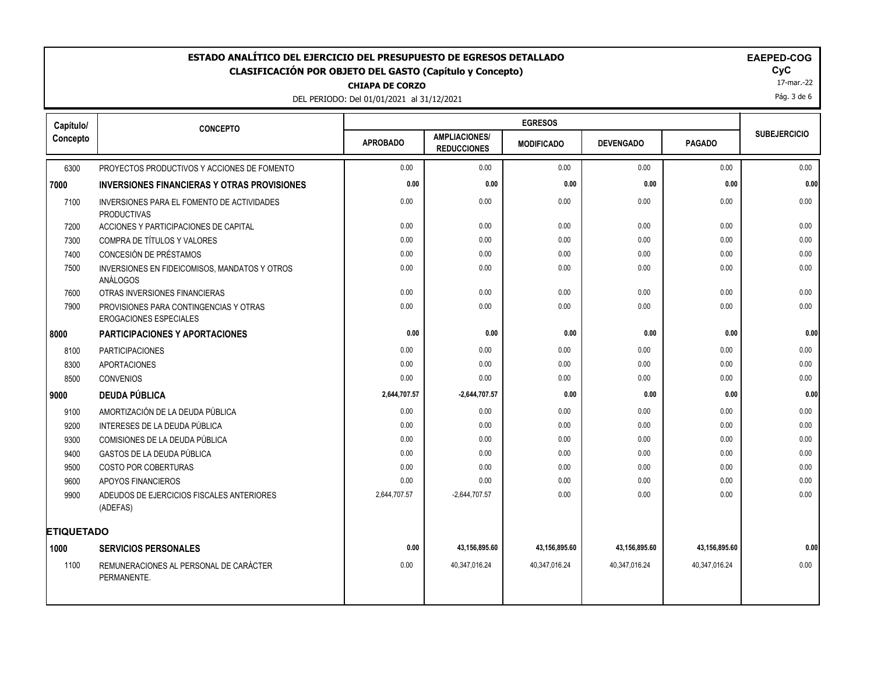# ESTADO ANALÍTICO DEL EJERCICIO DEL PRESUPUESTO DE EGRESOS DETALLADO<br>CLASIFICACIÓN POR OBJETO DEL GASTO (Capítulo y Concepto) **EXACIGADO DE ACASIFICACIÓN POR OBJETO** DEL GASTO (Capítulo y Concepto) **CLASIFICACIÓN POR OBJETO DEL GASTO (Capítulo y Concepto) CyC**

**CHIAPA DE CORZO**

DEL PERIODO: Del 01/01/2021 al 31/12/2021

17-mar.-22

Pág. 3 de 6

| Capítulo/         | <b>CONCEPTO</b>                                                         |                 |                                            |                   |                  |               |                     |
|-------------------|-------------------------------------------------------------------------|-----------------|--------------------------------------------|-------------------|------------------|---------------|---------------------|
| Concepto          |                                                                         | <b>APROBADO</b> | <b>AMPLIACIONES/</b><br><b>REDUCCIONES</b> | <b>MODIFICADO</b> | <b>DEVENGADO</b> | <b>PAGADO</b> | <b>SUBEJERCICIO</b> |
| 6300              | PROYECTOS PRODUCTIVOS Y ACCIONES DE FOMENTO                             | 0.00            | 0.00                                       | 0.00              | 0.00             | 0.00          | 0.00                |
| 7000              | <b>INVERSIONES FINANCIERAS Y OTRAS PROVISIONES</b>                      | 0.00            | 0.00                                       | 0.00              | 0.00             | 0.00          | 0.00                |
| 7100              | INVERSIONES PARA EL FOMENTO DE ACTIVIDADES<br><b>PRODUCTIVAS</b>        | 0.00            | 0.00                                       | 0.00              | 0.00             | 0.00          | 0.00                |
| 7200              | ACCIONES Y PARTICIPACIONES DE CAPITAL                                   | 0.00            | 0.00                                       | 0.00              | 0.00             | 0.00          | 0.00                |
| 7300              | COMPRA DE TÍTULOS Y VALORES                                             | 0.00            | 0.00                                       | 0.00              | 0.00             | 0.00          | 0.00                |
| 7400              | CONCESIÓN DE PRÉSTAMOS                                                  | 0.00            | 0.00                                       | 0.00              | 0.00             | 0.00          | 0.00                |
| 7500              | INVERSIONES EN FIDEICOMISOS, MANDATOS Y OTROS<br>ANÁLOGOS               | 0.00            | 0.00                                       | 0.00              | 0.00             | 0.00          | 0.00                |
| 7600              | OTRAS INVERSIONES FINANCIERAS                                           | 0.00            | 0.00                                       | 0.00              | 0.00             | 0.00          | 0.00                |
| 7900              | PROVISIONES PARA CONTINGENCIAS Y OTRAS<br><b>EROGACIONES ESPECIALES</b> | 0.00            | 0.00                                       | 0.00              | 0.00             | 0.00          | 0.00                |
| 8000              | <b>PARTICIPACIONES Y APORTACIONES</b>                                   | 0.00            | 0.00                                       | 0.00              | 0.00             | 0.00          | 0.00                |
| 8100              | <b>PARTICIPACIONES</b>                                                  | 0.00            | 0.00                                       | 0.00              | 0.00             | 0.00          | 0.00                |
| 8300              | <b>APORTACIONES</b>                                                     | 0.00            | 0.00                                       | 0.00              | 0.00             | 0.00          | 0.00                |
| 8500              | <b>CONVENIOS</b>                                                        | 0.00            | 0.00                                       | 0.00              | 0.00             | 0.00          | 0.00                |
| 9000              | <b>DEUDA PÚBLICA</b>                                                    | 2,644,707.57    | $-2,644,707.57$                            | 0.00              | 0.00             | 0.00          | 0.00                |
| 9100              | AMORTIZACIÓN DE LA DEUDA PÚBLICA                                        | 0.00            | 0.00                                       | 0.00              | 0.00             | 0.00          | 0.00                |
| 9200              | INTERESES DE LA DEUDA PÚBLICA                                           | 0.00            | 0.00                                       | 0.00              | 0.00             | 0.00          | 0.00                |
| 9300              | COMISIONES DE LA DEUDA PÚBLICA                                          | 0.00            | 0.00                                       | 0.00              | 0.00             | 0.00          | 0.00                |
| 9400              | <b>GASTOS DE LA DEUDA PÚBLICA</b>                                       | 0.00            | 0.00                                       | 0.00              | 0.00             | 0.00          | 0.00                |
| 9500              | <b>COSTO POR COBERTURAS</b>                                             | 0.00            | 0.00                                       | 0.00              | 0.00             | 0.00          | 0.00                |
| 9600              | APOYOS FINANCIEROS                                                      | 0.00            | 0.00                                       | 0.00              | 0.00             | 0.00          | 0.00                |
| 9900              | ADEUDOS DE EJERCICIOS FISCALES ANTERIORES<br>(ADEFAS)                   | 2,644,707.57    | $-2,644,707.57$                            | 0.00              | 0.00             | 0.00          | 0.00                |
| <b>ETIQUETADO</b> |                                                                         |                 |                                            |                   |                  |               |                     |
| 1000              | <b>SERVICIOS PERSONALES</b>                                             | 0.00            | 43,156,895.60                              | 43,156,895.60     | 43,156,895.60    | 43,156,895.60 | 0.00                |
| 1100              | REMUNERACIONES AL PERSONAL DE CARÁCTER<br>PERMANENTE.                   | 0.00            | 40,347,016.24                              | 40,347,016.24     | 40,347,016.24    | 40,347,016.24 | 0.00                |
|                   |                                                                         |                 |                                            |                   |                  |               |                     |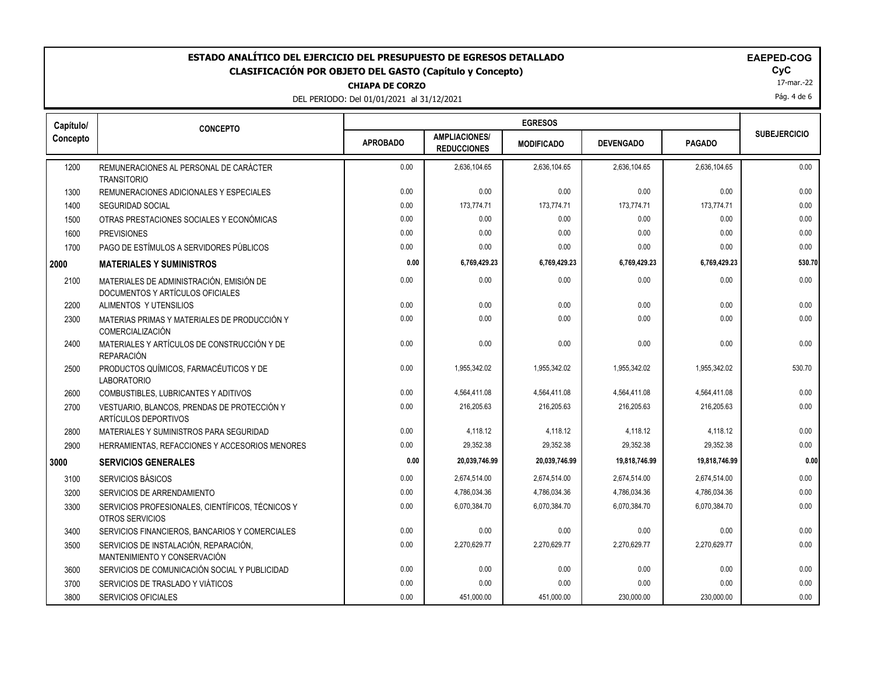# ESTADO ANALÍTICO DEL EJERCICIO DEL PRESUPUESTO DE EGRESOS DETALLADO<br>CLASIFICACIÓN POR OBJETO DEL GASTO (Capítulo y Concepto) **ELAGO**COGO EL GOGO COGO EL GOGO EL GOGO EL GOGO EL GOGO **CLASIFICACIÓN POR OBJETO DEL GASTO (Capítulo y Concepto) CyC**

**CHIAPA DE CORZO**

DEL PERIODO: Del 01/01/2021 al 31/12/2021

|  |  | <b>AEPED-COG</b> |  |  |  |
|--|--|------------------|--|--|--|
|--|--|------------------|--|--|--|

17-mar.-22

Pág. 4 de 6

| Capítulo/ | <b>CONCEPTO</b>                                                              |                 |                                            |                   |                  |               |                     |  |
|-----------|------------------------------------------------------------------------------|-----------------|--------------------------------------------|-------------------|------------------|---------------|---------------------|--|
| Concepto  |                                                                              | <b>APROBADO</b> | <b>AMPLIACIONES/</b><br><b>REDUCCIONES</b> | <b>MODIFICADO</b> | <b>DEVENGADO</b> | <b>PAGADO</b> | <b>SUBEJERCICIO</b> |  |
| 1200      | REMUNERACIONES AL PERSONAL DE CARÁCTER<br><b>TRANSITORIO</b>                 | 0.00            | 2,636,104.65                               | 2,636,104.65      | 2,636,104.65     | 2,636,104.65  | 0.00                |  |
| 1300      | REMUNERACIONES ADICIONALES Y ESPECIALES                                      | 0.00            | 0.00                                       | 0.00              | 0.00             | 0.00          | 0.00                |  |
| 1400      | <b>SEGURIDAD SOCIAL</b>                                                      | 0.00            | 173,774.71                                 | 173,774.71        | 173,774.71       | 173,774.71    | 0.00                |  |
| 1500      | OTRAS PRESTACIONES SOCIALES Y ECONÓMICAS                                     | 0.00            | 0.00                                       | 0.00              | 0.00             | 0.00          | 0.00                |  |
| 1600      | <b>PREVISIONES</b>                                                           | 0.00            | 0.00                                       | 0.00              | 0.00             | 0.00          | 0.00                |  |
| 1700      | PAGO DE ESTÍMULOS A SERVIDORES PÚBLICOS                                      | 0.00            | 0.00                                       | 0.00              | 0.00             | 0.00          | 0.00                |  |
| 2000      | <b>MATERIALES Y SUMINISTROS</b>                                              | 0.00            | 6,769,429.23                               | 6,769,429.23      | 6,769,429.23     | 6,769,429.23  | 530.70              |  |
| 2100      | MATERIALES DE ADMINISTRACIÓN, EMISIÓN DE<br>DOCUMENTOS Y ARTÍCULOS OFICIALES | 0.00            | 0.00                                       | 0.00              | 0.00             | 0.00          | 0.00                |  |
| 2200      | ALIMENTOS Y UTENSILIOS                                                       | 0.00            | 0.00                                       | 0.00              | 0.00             | 0.00          | 0.00                |  |
| 2300      | MATERIAS PRIMAS Y MATERIALES DE PRODUCCIÓN Y<br><b>COMERCIALIZACIÓN</b>      | 0.00            | 0.00                                       | 0.00              | 0.00             | 0.00          | 0.00                |  |
| 2400      | MATERIALES Y ARTÍCULOS DE CONSTRUCCIÓN Y DE<br><b>REPARACIÓN</b>             | 0.00            | 0.00                                       | 0.00              | 0.00             | 0.00          | 0.00                |  |
| 2500      | PRODUCTOS QUÍMICOS, FARMACÉUTICOS Y DE<br><b>LABORATORIO</b>                 | 0.00            | 1,955,342.02                               | 1,955,342.02      | 1,955,342.02     | 1,955,342.02  | 530.70              |  |
| 2600      | COMBUSTIBLES, LUBRICANTES Y ADITIVOS                                         | 0.00            | 4,564,411.08                               | 4,564,411.08      | 4,564,411.08     | 4,564,411.08  | 0.00                |  |
| 2700      | VESTUARIO, BLANCOS, PRENDAS DE PROTECCIÓN Y<br>ARTÍCULOS DEPORTIVOS          | 0.00            | 216,205.63                                 | 216,205.63        | 216,205.63       | 216,205.63    | 0.00                |  |
| 2800      | MATERIALES Y SUMINISTROS PARA SEGURIDAD                                      | 0.00            | 4,118.12                                   | 4,118.12          | 4,118.12         | 4,118.12      | 0.00                |  |
| 2900      | HERRAMIENTAS, REFACCIONES Y ACCESORIOS MENORES                               | 0.00            | 29,352.38                                  | 29,352.38         | 29,352.38        | 29.352.38     | 0.00                |  |
| 3000      | <b>SERVICIOS GENERALES</b>                                                   | 0.00            | 20,039,746.99                              | 20,039,746.99     | 19,818,746.99    | 19,818,746.99 | 0.00                |  |
| 3100      | SERVICIOS BÁSICOS                                                            | 0.00            | 2,674,514.00                               | 2,674,514.00      | 2,674,514.00     | 2,674,514.00  | 0.00                |  |
| 3200      | SERVICIOS DE ARRENDAMIENTO                                                   | 0.00            | 4,786,034.36                               | 4,786,034.36      | 4,786,034.36     | 4,786,034.36  | 0.00                |  |
| 3300      | SERVICIOS PROFESIONALES, CIENTÍFICOS, TÉCNICOS Y<br>OTROS SERVICIOS          | 0.00            | 6,070,384.70                               | 6.070.384.70      | 6,070,384.70     | 6,070,384.70  | 0.00                |  |
| 3400      | SERVICIOS FINANCIEROS, BANCARIOS Y COMERCIALES                               | 0.00            | 0.00                                       | 0.00              | 0.00             | 0.00          | 0.00                |  |
| 3500      | SERVICIOS DE INSTALACIÓN, REPARACIÓN,<br>MANTENIMIENTO Y CONSERVACIÓN        | 0.00            | 2,270,629.77                               | 2,270,629.77      | 2,270,629.77     | 2,270,629.77  | 0.00                |  |
| 3600      | SERVICIOS DE COMUNICACIÓN SOCIAL Y PUBLICIDAD                                | 0.00            | 0.00                                       | 0.00              | 0.00             | 0.00          | 0.00                |  |
| 3700      | SERVICIOS DE TRASLADO Y VIÁTICOS                                             | 0.00            | 0.00                                       | 0.00              | 0.00             | 0.00          | 0.00                |  |
| 3800      | SERVICIOS OFICIALES                                                          | 0.00            | 451,000.00                                 | 451,000.00        | 230,000.00       | 230,000.00    | 0.00                |  |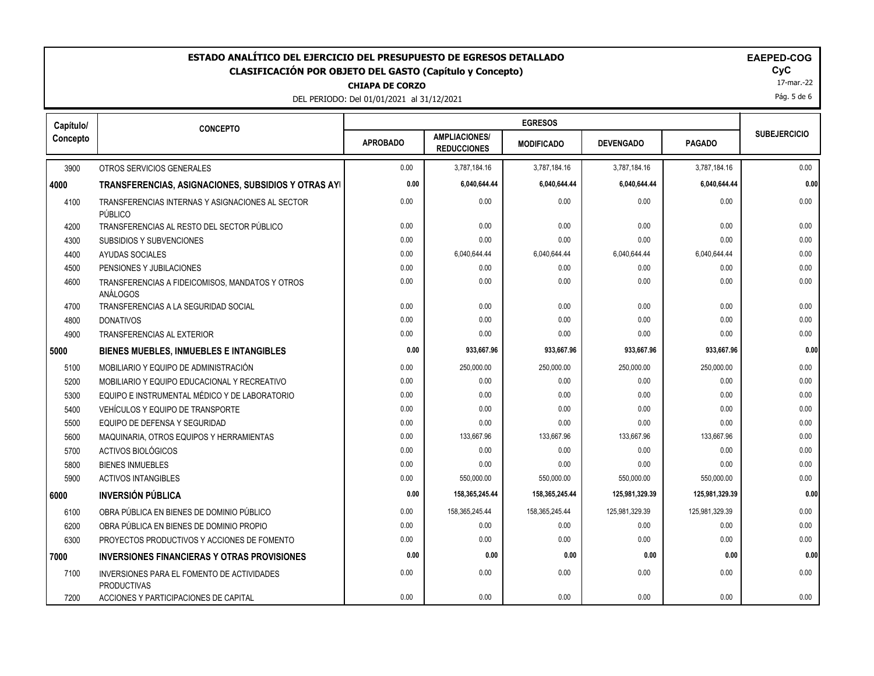# **ESTADO ANALÍTICO DEL EJERCICIO DEL PRESUPUESTO DE EGRESOS DETALLADO EAEPED-COG CLASIFICACIÓN POR OBJETO DEL GASTO (Capítulo y Concepto) CyC**

**CHIAPA DE CORZO**

DEL PERIODO: Del 01/01/2021 al 31/12/2021

|  |  | EAEPED-CO |  |
|--|--|-----------|--|
|--|--|-----------|--|

17-mar.-22

Pág. 5 de 6

| Capítulo/ | <b>CONCEPTO</b>                                                  |                 |                                            |                   |                  |                |                     |  |
|-----------|------------------------------------------------------------------|-----------------|--------------------------------------------|-------------------|------------------|----------------|---------------------|--|
| Concepto  |                                                                  | <b>APROBADO</b> | <b>AMPLIACIONES/</b><br><b>REDUCCIONES</b> | <b>MODIFICADO</b> | <b>DEVENGADO</b> | <b>PAGADO</b>  | <b>SUBEJERCICIO</b> |  |
| 3900      | OTROS SERVICIOS GENERALES                                        | 0.00            | 3,787,184.16                               | 3,787,184.16      | 3,787,184.16     | 3,787,184.16   | 0.00                |  |
| 4000      | TRANSFERENCIAS, ASIGNACIONES, SUBSIDIOS Y OTRAS AYI              | 0.00            | 6,040,644.44                               | 6,040,644.44      | 6,040,644.44     | 6,040,644.44   | 0.00                |  |
| 4100      | TRANSFERENCIAS INTERNAS Y ASIGNACIONES AL SECTOR<br>PÚBLICO      | 0.00            | 0.00                                       | 0.00              | 0.00             | 0.00           | 0.00                |  |
| 4200      | TRANSFERENCIAS AL RESTO DEL SECTOR PÚBLICO                       | 0.00            | 0.00                                       | 0.00              | 0.00             | 0.00           | 0.00                |  |
| 4300      | <b>SUBSIDIOS Y SUBVENCIONES</b>                                  | 0.00            | 0.00                                       | 0.00              | 0.00             | 0.00           | 0.00                |  |
| 4400      | AYUDAS SOCIALES                                                  | 0.00            | 6,040,644.44                               | 6,040,644.44      | 6,040,644.44     | 6,040,644.44   | 0.00                |  |
| 4500      | PENSIONES Y JUBILACIONES                                         | 0.00            | 0.00                                       | 0.00              | 0.00             | 0.00           | 0.00                |  |
| 4600      | TRANSFERENCIAS A FIDEICOMISOS, MANDATOS Y OTROS<br>ANÁLOGOS      | 0.00            | 0.00                                       | 0.00              | 0.00             | 0.00           | 0.00                |  |
| 4700      | TRANSFERENCIAS A LA SEGURIDAD SOCIAL                             | 0.00            | 0.00                                       | 0.00              | 0.00             | 0.00           | 0.00                |  |
| 4800      | <b>DONATIVOS</b>                                                 | 0.00            | 0.00                                       | 0.00              | 0.00             | 0.00           | 0.00                |  |
| 4900      | TRANSFERENCIAS AL EXTERIOR                                       | 0.00            | 0.00                                       | 0.00              | 0.00             | 0.00           | 0.00                |  |
| 5000      | <b>BIENES MUEBLES, INMUEBLES E INTANGIBLES</b>                   | 0.00            | 933,667.96                                 | 933,667.96        | 933,667.96       | 933,667.96     | 0.00                |  |
| 5100      | MOBILIARIO Y EQUIPO DE ADMINISTRACIÓN                            | 0.00            | 250,000.00                                 | 250,000.00        | 250,000.00       | 250,000.00     | 0.00                |  |
| 5200      | MOBILIARIO Y EQUIPO EDUCACIONAL Y RECREATIVO                     | 0.00            | 0.00                                       | 0.00              | 0.00             | 0.00           | 0.00                |  |
| 5300      | EQUIPO E INSTRUMENTAL MÉDICO Y DE LABORATORIO                    | 0.00            | 0.00                                       | 0.00              | 0.00             | 0.00           | 0.00                |  |
| 5400      | VEHÍCULOS Y EQUIPO DE TRANSPORTE                                 | 0.00            | 0.00                                       | 0.00              | 0.00             | 0.00           | 0.00                |  |
| 5500      | EQUIPO DE DEFENSA Y SEGURIDAD                                    | 0.00            | 0.00                                       | 0.00              | 0.00             | 0.00           | 0.00                |  |
| 5600      | MAQUINARIA, OTROS EQUIPOS Y HERRAMIENTAS                         | 0.00            | 133,667.96                                 | 133,667.96        | 133,667.96       | 133,667.96     | 0.00                |  |
| 5700      | ACTIVOS BIOLÓGICOS                                               | 0.00            | 0.00                                       | 0.00              | 0.00             | 0.00           | 0.00                |  |
| 5800      | <b>BIENES INMUEBLES</b>                                          | 0.00            | 0.00                                       | 0.00              | 0.00             | 0.00           | 0.00                |  |
| 5900      | <b>ACTIVOS INTANGIBLES</b>                                       | 0.00            | 550,000.00                                 | 550,000.00        | 550,000.00       | 550,000.00     | 0.00                |  |
| 6000      | <b>INVERSIÓN PÚBLICA</b>                                         | 0.00            | 158,365,245.44                             | 158,365,245.44    | 125,981,329.39   | 125,981,329.39 | 0.00                |  |
| 6100      | OBRA PÚBLICA EN BIENES DE DOMINIO PÚBLICO                        | 0.00            | 158,365,245.44                             | 158,365,245.44    | 125,981,329.39   | 125,981,329.39 | 0.00                |  |
| 6200      | OBRA PÚBLICA EN BIENES DE DOMINIO PROPIO                         | 0.00            | 0.00                                       | 0.00              | 0.00             | 0.00           | 0.00                |  |
| 6300      | PROYECTOS PRODUCTIVOS Y ACCIONES DE FOMENTO                      | 0.00            | 0.00                                       | 0.00              | 0.00             | 0.00           | 0.00                |  |
| 7000      | <b>INVERSIONES FINANCIERAS Y OTRAS PROVISIONES</b>               | 0.00            | 0.00                                       | 0.00              | 0.00             | 0.00           | 0.00                |  |
| 7100      | INVERSIONES PARA EL FOMENTO DE ACTIVIDADES<br><b>PRODUCTIVAS</b> | 0.00            | 0.00                                       | 0.00              | 0.00             | 0.00           | 0.00                |  |
| 7200      | ACCIONES Y PARTICIPACIONES DE CAPITAL                            | 0.00            | 0.00                                       | 0.00              | 0.00             | 0.00           | 0.00                |  |